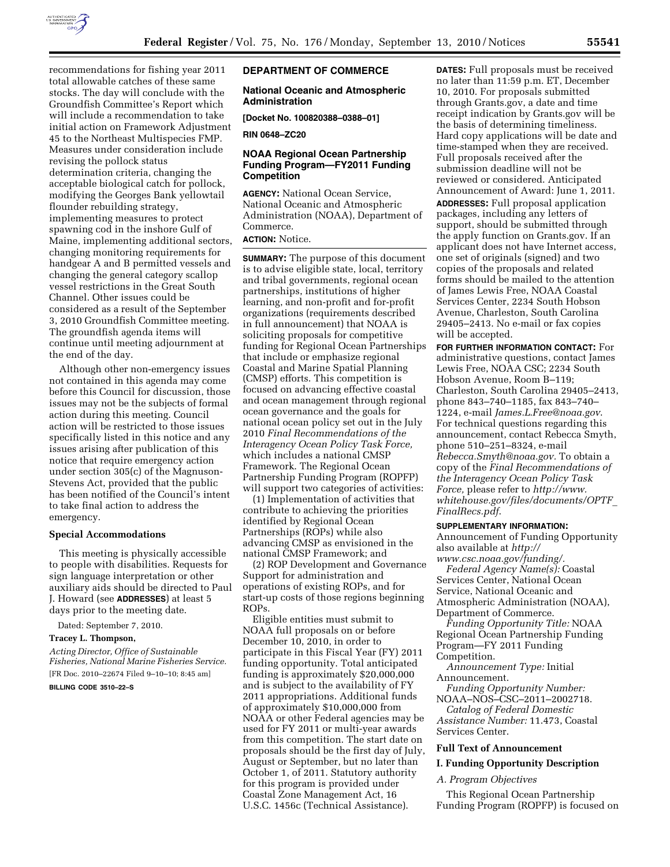

recommendations for fishing year 2011 total allowable catches of these same stocks. The day will conclude with the Groundfish Committee's Report which will include a recommendation to take initial action on Framework Adjustment 45 to the Northeast Multispecies FMP. Measures under consideration include revising the pollock status determination criteria, changing the acceptable biological catch for pollock, modifying the Georges Bank yellowtail flounder rebuilding strategy, implementing measures to protect spawning cod in the inshore Gulf of Maine, implementing additional sectors, changing monitoring requirements for handgear A and B permitted vessels and changing the general category scallop vessel restrictions in the Great South Channel. Other issues could be considered as a result of the September 3, 2010 Groundfish Committee meeting. The groundfish agenda items will continue until meeting adjournment at the end of the day.

Although other non-emergency issues not contained in this agenda may come before this Council for discussion, those issues may not be the subjects of formal action during this meeting. Council action will be restricted to those issues specifically listed in this notice and any issues arising after publication of this notice that require emergency action under section 305(c) of the Magnuson-Stevens Act, provided that the public has been notified of the Council's intent to take final action to address the emergency.

## **Special Accommodations**

This meeting is physically accessible to people with disabilities. Requests for sign language interpretation or other auxiliary aids should be directed to Paul J. Howard (see **ADDRESSES**) at least 5 days prior to the meeting date.

Dated: September 7, 2010.

## **Tracey L. Thompson,**

*Acting Director, Office of Sustainable Fisheries, National Marine Fisheries Service.*  [FR Doc. 2010–22674 Filed 9–10–10; 8:45 am]

#### **BILLING CODE 3510–22–S**

#### **DEPARTMENT OF COMMERCE**

## **National Oceanic and Atmospheric Administration**

**[Docket No. 100820388–0388–01]** 

**RIN 0648–ZC20** 

## **NOAA Regional Ocean Partnership Funding Program—FY2011 Funding Competition**

**AGENCY:** National Ocean Service, National Oceanic and Atmospheric Administration (NOAA), Department of Commerce.

# **ACTION:** Notice.

**SUMMARY:** The purpose of this document is to advise eligible state, local, territory and tribal governments, regional ocean partnerships, institutions of higher learning, and non-profit and for-profit organizations (requirements described in full announcement) that NOAA is soliciting proposals for competitive funding for Regional Ocean Partnerships that include or emphasize regional Coastal and Marine Spatial Planning (CMSP) efforts. This competition is focused on advancing effective coastal and ocean management through regional ocean governance and the goals for national ocean policy set out in the July 2010 *Final Recommendations of the Interagency Ocean Policy Task Force,*  which includes a national CMSP Framework. The Regional Ocean Partnership Funding Program (ROPFP) will support two categories of activities:

(1) Implementation of activities that contribute to achieving the priorities identified by Regional Ocean Partnerships (ROPs) while also advancing CMSP as envisioned in the national CMSP Framework; and

(2) ROP Development and Governance Support for administration and operations of existing ROPs, and for start-up costs of those regions beginning ROPs.

Eligible entities must submit to NOAA full proposals on or before December 10, 2010, in order to participate in this Fiscal Year (FY) 2011 funding opportunity. Total anticipated funding is approximately \$20,000,000 and is subject to the availability of FY 2011 appropriations. Additional funds of approximately \$10,000,000 from NOAA or other Federal agencies may be used for FY 2011 or multi-year awards from this competition. The start date on proposals should be the first day of July, August or September, but no later than October 1, of 2011. Statutory authority for this program is provided under Coastal Zone Management Act, 16 U.S.C. 1456c (Technical Assistance).

**DATES:** Full proposals must be received no later than 11:59 p.m. ET, December 10, 2010. For proposals submitted through Grants.gov, a date and time receipt indication by Grants.gov will be the basis of determining timeliness. Hard copy applications will be date and time-stamped when they are received. Full proposals received after the submission deadline will not be reviewed or considered. Anticipated Announcement of Award: June 1, 2011. **ADDRESSES:** Full proposal application packages, including any letters of support, should be submitted through the apply function on Grants.gov. If an applicant does not have Internet access, one set of originals (signed) and two copies of the proposals and related forms should be mailed to the attention of James Lewis Free, NOAA Coastal Services Center, 2234 South Hobson Avenue, Charleston, South Carolina 29405–2413. No e-mail or fax copies will be accepted.

**FOR FURTHER INFORMATION CONTACT:** For administrative questions, contact James Lewis Free, NOAA CSC; 2234 South Hobson Avenue, Room B–119; Charleston, South Carolina 29405–2413, phone 843–740–1185, fax 843–740– 1224, e-mail *[James.L.Free@noaa.gov](mailto:James.L.Free@noaa.gov)*. For technical questions regarding this announcement, contact Rebecca Smyth, phone 510–251–8324, e-mail *[Rebecca.Smyth@noaa.gov.](mailto:Rebecca.Smyth@noaa.gov)* To obtain a copy of the *Final Recommendations of the Interagency Ocean Policy Task Force,* please refer to *[http://www.](http://www.whitehouse.gov/files/documents/OPTF_FinalRecs.pdf) [whitehouse.gov/files/documents/OPTF](http://www.whitehouse.gov/files/documents/OPTF_FinalRecs.pdf)*\_ *[FinalRecs.pdf](http://www.whitehouse.gov/files/documents/OPTF_FinalRecs.pdf)*.

#### **SUPPLEMENTARY INFORMATION:**

Announcement of Funding Opportunity also available at *[http://](http://www.csc.noaa.gov/funding/)* 

*[www.csc.noaa.gov/funding/.](http://www.csc.noaa.gov/funding/)  Federal Agency Name(s):* Coastal Services Center, National Ocean Service, National Oceanic and Atmospheric Administration (NOAA), Department of Commerce.

*Funding Opportunity Title:* NOAA Regional Ocean Partnership Funding Program—FY 2011 Funding Competition.

*Announcement Type:* Initial Announcement.

*Funding Opportunity Number:* 

NOAA–NOS–CSC–2011–2002718. *Catalog of Federal Domestic* 

*Assistance Number:* 11.473, Coastal Services Center.

## **Full Text of Announcement**

# **I. Funding Opportunity Description**

*A. Program Objectives* 

This Regional Ocean Partnership Funding Program (ROPFP) is focused on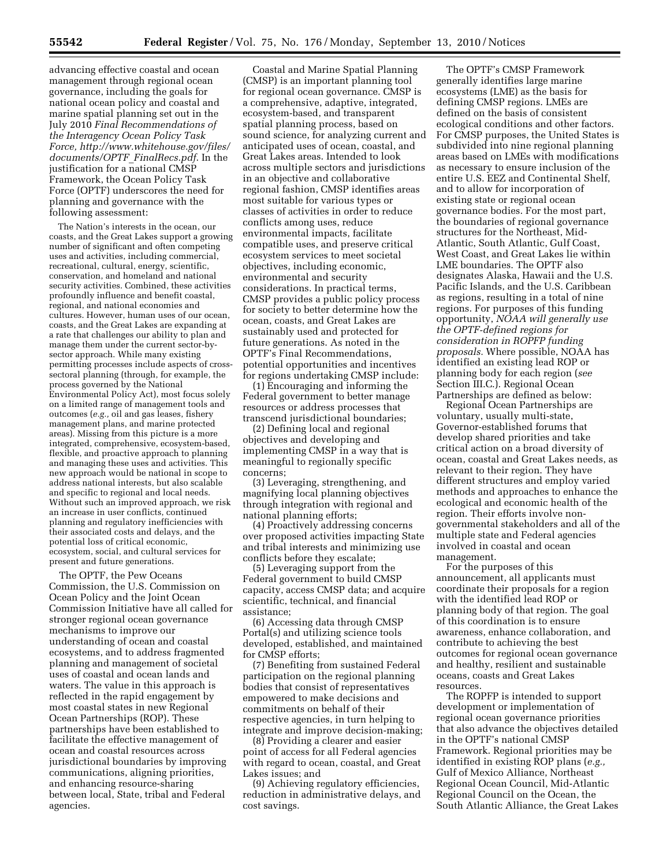advancing effective coastal and ocean management through regional ocean governance, including the goals for national ocean policy and coastal and marine spatial planning set out in the July 2010 *Final Recommendations of the Interagency Ocean Policy Task Force, [http://www.whitehouse.gov/files/](http://www.whitehouse.gov/files/documents/OPTF_FinalRecs.pdf) [documents/OPTF](http://www.whitehouse.gov/files/documents/OPTF_FinalRecs.pdf)*\_*FinalRecs.pdf*. In the justification for a national CMSP Framework, the Ocean Policy Task Force (OPTF) underscores the need for planning and governance with the following assessment:

The Nation's interests in the ocean, our coasts, and the Great Lakes support a growing number of significant and often competing uses and activities, including commercial, recreational, cultural, energy, scientific, conservation, and homeland and national security activities. Combined, these activities profoundly influence and benefit coastal, regional, and national economies and cultures. However, human uses of our ocean, coasts, and the Great Lakes are expanding at a rate that challenges our ability to plan and manage them under the current sector-bysector approach. While many existing permitting processes include aspects of crosssectoral planning (through, for example, the process governed by the National Environmental Policy Act), most focus solely on a limited range of management tools and outcomes (*e.g.,* oil and gas leases, fishery management plans, and marine protected areas). Missing from this picture is a more integrated, comprehensive, ecosystem-based, flexible, and proactive approach to planning and managing these uses and activities. This new approach would be national in scope to address national interests, but also scalable and specific to regional and local needs. Without such an improved approach, we risk an increase in user conflicts, continued planning and regulatory inefficiencies with their associated costs and delays, and the potential loss of critical economic, ecosystem, social, and cultural services for present and future generations.

The OPTF, the Pew Oceans Commission, the U.S. Commission on Ocean Policy and the Joint Ocean Commission Initiative have all called for stronger regional ocean governance mechanisms to improve our understanding of ocean and coastal ecosystems, and to address fragmented planning and management of societal uses of coastal and ocean lands and waters. The value in this approach is reflected in the rapid engagement by most coastal states in new Regional Ocean Partnerships (ROP). These partnerships have been established to facilitate the effective management of ocean and coastal resources across jurisdictional boundaries by improving communications, aligning priorities, and enhancing resource-sharing between local, State, tribal and Federal agencies.

Coastal and Marine Spatial Planning (CMSP) is an important planning tool for regional ocean governance. CMSP is a comprehensive, adaptive, integrated, ecosystem-based, and transparent spatial planning process, based on sound science, for analyzing current and anticipated uses of ocean, coastal, and Great Lakes areas. Intended to look across multiple sectors and jurisdictions in an objective and collaborative regional fashion, CMSP identifies areas most suitable for various types or classes of activities in order to reduce conflicts among uses, reduce environmental impacts, facilitate compatible uses, and preserve critical ecosystem services to meet societal objectives, including economic, environmental and security considerations. In practical terms, CMSP provides a public policy process for society to better determine how the ocean, coasts, and Great Lakes are sustainably used and protected for future generations. As noted in the OPTF's Final Recommendations, potential opportunities and incentives for regions undertaking CMSP include:

(1) Encouraging and informing the Federal government to better manage resources or address processes that transcend jurisdictional boundaries;

(2) Defining local and regional objectives and developing and implementing CMSP in a way that is meaningful to regionally specific concerns;

(3) Leveraging, strengthening, and magnifying local planning objectives through integration with regional and national planning efforts;

(4) Proactively addressing concerns over proposed activities impacting State and tribal interests and minimizing use conflicts before they escalate;

(5) Leveraging support from the Federal government to build CMSP capacity, access CMSP data; and acquire scientific, technical, and financial assistance;

(6) Accessing data through CMSP Portal(s) and utilizing science tools developed, established, and maintained for CMSP efforts;

(7) Benefiting from sustained Federal participation on the regional planning bodies that consist of representatives empowered to make decisions and commitments on behalf of their respective agencies, in turn helping to integrate and improve decision-making;

(8) Providing a clearer and easier point of access for all Federal agencies with regard to ocean, coastal, and Great Lakes issues; and

(9) Achieving regulatory efficiencies, reduction in administrative delays, and cost savings.

The OPTF's CMSP Framework generally identifies large marine ecosystems (LME) as the basis for defining CMSP regions. LMEs are defined on the basis of consistent ecological conditions and other factors. For CMSP purposes, the United States is subdivided into nine regional planning areas based on LMEs with modifications as necessary to ensure inclusion of the entire U.S. EEZ and Continental Shelf, and to allow for incorporation of existing state or regional ocean governance bodies. For the most part, the boundaries of regional governance structures for the Northeast, Mid-Atlantic, South Atlantic, Gulf Coast, West Coast, and Great Lakes lie within LME boundaries. The OPTF also designates Alaska, Hawaii and the U.S. Pacific Islands, and the U.S. Caribbean as regions, resulting in a total of nine regions. For purposes of this funding opportunity, *NOAA will generally use the OPTF-defined regions for consideration in ROPFP funding proposals.* Where possible, NOAA has identified an existing lead ROP or planning body for each region (*see*  Section III.C.). Regional Ocean Partnerships are defined as below:

Regional Ocean Partnerships are voluntary, usually multi-state, Governor-established forums that develop shared priorities and take critical action on a broad diversity of ocean, coastal and Great Lakes needs, as relevant to their region. They have different structures and employ varied methods and approaches to enhance the ecological and economic health of the region. Their efforts involve nongovernmental stakeholders and all of the multiple state and Federal agencies involved in coastal and ocean management.

For the purposes of this announcement, all applicants must coordinate their proposals for a region with the identified lead ROP or planning body of that region. The goal of this coordination is to ensure awareness, enhance collaboration, and contribute to achieving the best outcomes for regional ocean governance and healthy, resilient and sustainable oceans, coasts and Great Lakes resources.

The ROPFP is intended to support development or implementation of regional ocean governance priorities that also advance the objectives detailed in the OPTF's national CMSP Framework. Regional priorities may be identified in existing ROP plans (*e.g.,*  Gulf of Mexico Alliance, Northeast Regional Ocean Council, Mid-Atlantic Regional Council on the Ocean, the South Atlantic Alliance, the Great Lakes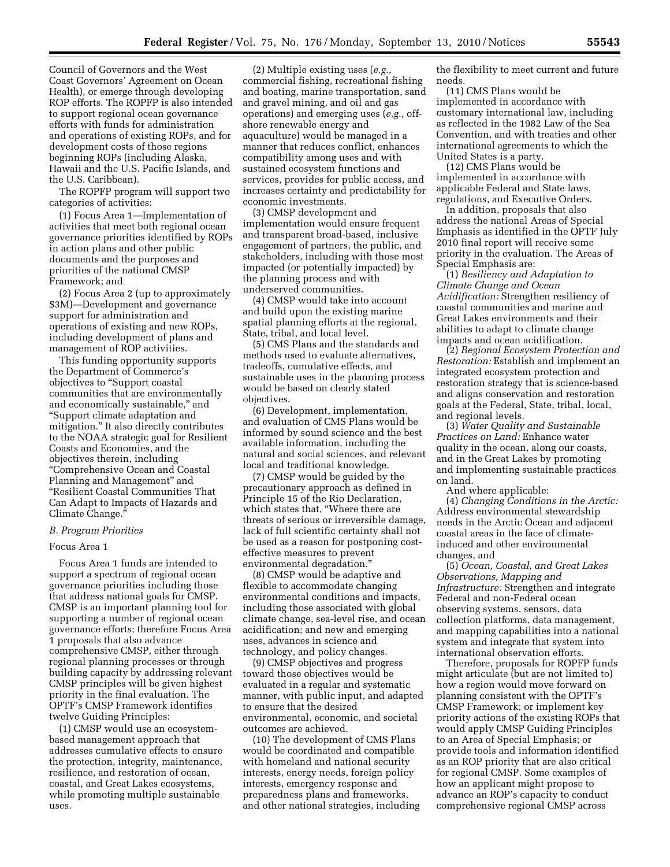Council of Governors and the West Coast Governors' Agreement on Ocean Health), or emerge through developing ROP efforts. The ROPFP is also intended to support regional ocean governance efforts with funds for administration and operations of existing ROPs, and for development costs of those regions beginning ROPs (including Alaska, Hawaii and the U.S. Pacific Islands, and the U.S. Caribbean).

The ROPFP program will support two categories of activities:

(1) Focus Area 1—Implementation of activities that meet both regional ocean governance priorities identified by ROPs in action plans and other public documents and the purposes and priorities of the national CMSP Framework; and

(2) Focus Area 2 (up to approximately \$3M)—Development and governance support for administration and operations of existing and new ROPs, including development of plans and management of ROP activities.

This funding opportunity supports the Department of Commerce's objectives to ''Support coastal communities that are environmentally and economically sustainable,'' and ''Support climate adaptation and mitigation.'' It also directly contributes to the NOAA strategic goal for Resilient Coasts and Economies, and the objectives therein, including ''Comprehensive Ocean and Coastal Planning and Management'' and ''Resilient Coastal Communities That Can Adapt to Impacts of Hazards and Climate Change.''

#### *B. Program Priorities*

#### Focus Area 1

Focus Area 1 funds are intended to support a spectrum of regional ocean governance priorities including those that address national goals for CMSP. CMSP is an important planning tool for supporting a number of regional ocean governance efforts; therefore Focus Area 1 proposals that also advance comprehensive CMSP, either through regional planning processes or through building capacity by addressing relevant CMSP principles will be given highest priority in the final evaluation. The OPTF's CMSP Framework identifies twelve Guiding Principles:

(1) CMSP would use an ecosystembased management approach that addresses cumulative effects to ensure the protection, integrity, maintenance, resilience, and restoration of ocean, coastal, and Great Lakes ecosystems, while promoting multiple sustainable uses.

(2) Multiple existing uses (*e.g.,*  commercial fishing, recreational fishing and boating, marine transportation, sand and gravel mining, and oil and gas operations) and emerging uses (*e.g.,* offshore renewable energy and aquaculture) would be managed in a manner that reduces conflict, enhances compatibility among uses and with sustained ecosystem functions and services, provides for public access, and increases certainty and predictability for economic investments.

(3) CMSP development and implementation would ensure frequent and transparent broad-based, inclusive engagement of partners, the public, and stakeholders, including with those most impacted (or potentially impacted) by the planning process and with underserved communities.

(4) CMSP would take into account and build upon the existing marine spatial planning efforts at the regional, State, tribal, and local level.

(5) CMS Plans and the standards and methods used to evaluate alternatives, tradeoffs, cumulative effects, and sustainable uses in the planning process would be based on clearly stated objectives.

(6) Development, implementation, and evaluation of CMS Plans would be informed by sound science and the best available information, including the natural and social sciences, and relevant local and traditional knowledge.

(7) CMSP would be guided by the precautionary approach as defined in Principle 15 of the Rio Declaration, which states that, ''Where there are threats of serious or irreversible damage, lack of full scientific certainty shall not be used as a reason for postponing costeffective measures to prevent environmental degradation.''

(8) CMSP would be adaptive and flexible to accommodate changing environmental conditions and impacts, including those associated with global climate change, sea-level rise, and ocean acidification; and new and emerging uses, advances in science and technology, and policy changes.

(9) CMSP objectives and progress toward those objectives would be evaluated in a regular and systematic manner, with public input, and adapted to ensure that the desired environmental, economic, and societal outcomes are achieved.

(10) The development of CMS Plans would be coordinated and compatible with homeland and national security interests, energy needs, foreign policy interests, emergency response and preparedness plans and frameworks, and other national strategies, including

the flexibility to meet current and future needs.

(11) CMS Plans would be implemented in accordance with customary international law, including as reflected in the 1982 Law of the Sea Convention, and with treaties and other international agreements to which the United States is a party.

(12) CMS Plans would be implemented in accordance with applicable Federal and State laws, regulations, and Executive Orders.

In addition, proposals that also address the national Areas of Special Emphasis as identified in the OPTF July 2010 final report will receive some priority in the evaluation. The Areas of Special Emphasis are:

(1) *Resiliency and Adaptation to Climate Change and Ocean Acidification:* Strengthen resiliency of coastal communities and marine and Great Lakes environments and their abilities to adapt to climate change impacts and ocean acidification.

(2) *Regional Ecosystem Protection and Restoration:* Establish and implement an integrated ecosystem protection and restoration strategy that is science-based and aligns conservation and restoration goals at the Federal, State, tribal, local, and regional levels.

(3) *Water Quality and Sustainable Practices on Land:* Enhance water quality in the ocean, along our coasts, and in the Great Lakes by promoting and implementing sustainable practices on land.

And where applicable:

(4) *Changing Conditions in the Arctic:*  Address environmental stewardship needs in the Arctic Ocean and adjacent coastal areas in the face of climateinduced and other environmental changes, and

(5) *Ocean, Coastal, and Great Lakes Observations, Mapping and Infrastructure:* Strengthen and integrate Federal and non-Federal ocean observing systems, sensors, data collection platforms, data management, and mapping capabilities into a national system and integrate that system into international observation efforts.

Therefore, proposals for ROPFP funds might articulate (but are not limited to) how a region would move forward on planning consistent with the OPTF's CMSP Framework; or implement key priority actions of the existing ROPs that would apply CMSP Guiding Principles to an Area of Special Emphasis; or provide tools and information identified as an ROP priority that are also critical for regional CMSP. Some examples of how an applicant might propose to advance an ROP's capacity to conduct comprehensive regional CMSP across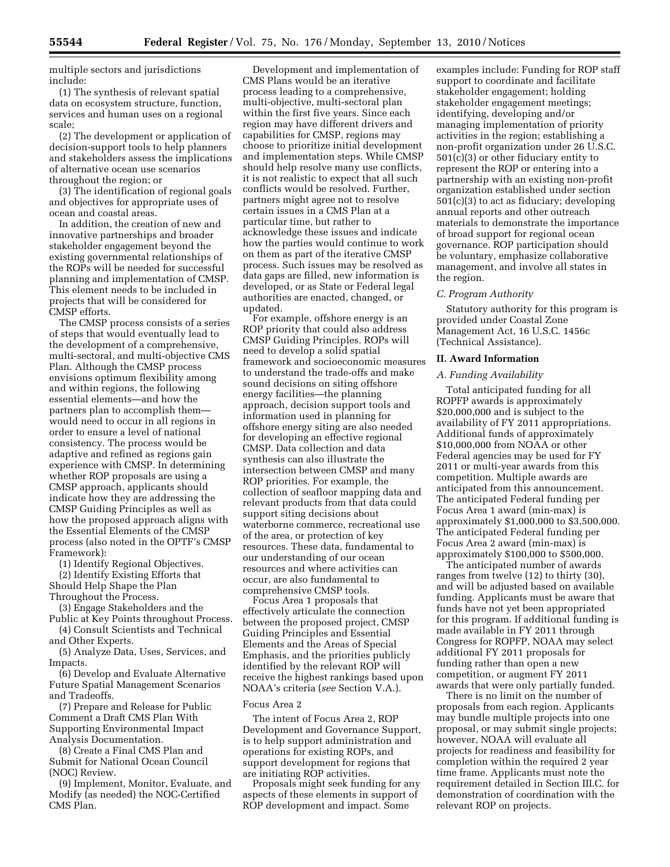multiple sectors and jurisdictions include:

(1) The synthesis of relevant spatial data on ecosystem structure, function, services and human uses on a regional scale;

(2) The development or application of decision-support tools to help planners and stakeholders assess the implications of alternative ocean use scenarios throughout the region; or

(3) The identification of regional goals and objectives for appropriate uses of ocean and coastal areas.

In addition, the creation of new and innovative partnerships and broader stakeholder engagement beyond the existing governmental relationships of the ROPs will be needed for successful planning and implementation of CMSP. This element needs to be included in projects that will be considered for CMSP efforts.

The CMSP process consists of a series of steps that would eventually lead to the development of a comprehensive, multi-sectoral, and multi-objective CMS Plan. Although the CMSP process envisions optimum flexibility among and within regions, the following essential elements—and how the partners plan to accomplish them would need to occur in all regions in order to ensure a level of national consistency. The process would be adaptive and refined as regions gain experience with CMSP. In determining whether ROP proposals are using a CMSP approach, applicants should indicate how they are addressing the CMSP Guiding Principles as well as how the proposed approach aligns with the Essential Elements of the CMSP process (also noted in the OPTF's CMSP Framework):

(1) Identify Regional Objectives. (2) Identify Existing Efforts that Should Help Shape the Plan Throughout the Process.

(3) Engage Stakeholders and the Public at Key Points throughout Process.

(4) Consult Scientists and Technical and Other Experts.

(5) Analyze Data, Uses, Services, and Impacts.

(6) Develop and Evaluate Alternative Future Spatial Management Scenarios and Tradeoffs.

(7) Prepare and Release for Public Comment a Draft CMS Plan With Supporting Environmental Impact Analysis Documentation.

(8) Create a Final CMS Plan and Submit for National Ocean Council (NOC) Review.

(9) Implement, Monitor, Evaluate, and Modify (as needed) the NOC-Certified CMS Plan.

Development and implementation of CMS Plans would be an iterative process leading to a comprehensive, multi-objective, multi-sectoral plan within the first five years. Since each region may have different drivers and capabilities for CMSP, regions may choose to prioritize initial development and implementation steps. While CMSP should help resolve many use conflicts, it is not realistic to expect that all such conflicts would be resolved. Further, partners might agree not to resolve certain issues in a CMS Plan at a particular time, but rather to acknowledge these issues and indicate how the parties would continue to work on them as part of the iterative CMSP process. Such issues may be resolved as data gaps are filled, new information is developed, or as State or Federal legal authorities are enacted, changed, or updated.

For example, offshore energy is an ROP priority that could also address CMSP Guiding Principles. ROPs will need to develop a solid spatial framework and socioeconomic measures to understand the trade-offs and make sound decisions on siting offshore energy facilities—the planning approach, decision support tools and information used in planning for offshore energy siting are also needed for developing an effective regional CMSP. Data collection and data synthesis can also illustrate the intersection between CMSP and many ROP priorities. For example, the collection of seafloor mapping data and relevant products from that data could support siting decisions about waterborne commerce, recreational use of the area, or protection of key resources. These data, fundamental to our understanding of our ocean resources and where activities can occur, are also fundamental to comprehensive CMSP tools.

Focus Area 1 proposals that effectively articulate the connection between the proposed project, CMSP Guiding Principles and Essential Elements and the Areas of Special Emphasis, and the priorities publicly identified by the relevant ROP will receive the highest rankings based upon NOAA's criteria (*see* Section V.A.).

### Focus Area 2

The intent of Focus Area 2, ROP Development and Governance Support, is to help support administration and operations for existing ROPs, and support development for regions that are initiating ROP activities.

Proposals might seek funding for any aspects of these elements in support of ROP development and impact. Some

examples include: Funding for ROP staff support to coordinate and facilitate stakeholder engagement; holding stakeholder engagement meetings; identifying, developing and/or managing implementation of priority activities in the region; establishing a non-profit organization under 26 U.S.C. 501(c)(3) or other fiduciary entity to represent the ROP or entering into a partnership with an existing non-profit organization established under section 501(c)(3) to act as fiduciary; developing annual reports and other outreach materials to demonstrate the importance of broad support for regional ocean governance. ROP participation should be voluntary, emphasize collaborative management, and involve all states in the region.

### *C. Program Authority*

Statutory authority for this program is provided under Coastal Zone Management Act, 16 U.S.C. 1456c (Technical Assistance).

## **II. Award Information**

### *A. Funding Availability*

Total anticipated funding for all ROPFP awards is approximately \$20,000,000 and is subject to the availability of FY 2011 appropriations. Additional funds of approximately \$10,000,000 from NOAA or other Federal agencies may be used for FY 2011 or multi-year awards from this competition. Multiple awards are anticipated from this announcement. The anticipated Federal funding per Focus Area 1 award (min-max) is approximately \$1,000,000 to \$3,500,000. The anticipated Federal funding per Focus Area 2 award (min-max) is approximately \$100,000 to \$500,000.

The anticipated number of awards ranges from twelve (12) to thirty (30), and will be adjusted based on available funding. Applicants must be aware that funds have not yet been appropriated for this program. If additional funding is made available in FY 2011 through Congress for ROPFP, NOAA may select additional FY 2011 proposals for funding rather than open a new competition, or augment FY 2011 awards that were only partially funded.

There is no limit on the number of proposals from each region. Applicants may bundle multiple projects into one proposal, or may submit single projects; however, NOAA will evaluate all projects for readiness and feasibility for completion within the required 2 year time frame. Applicants must note the requirement detailed in Section III.C. for demonstration of coordination with the relevant ROP on projects.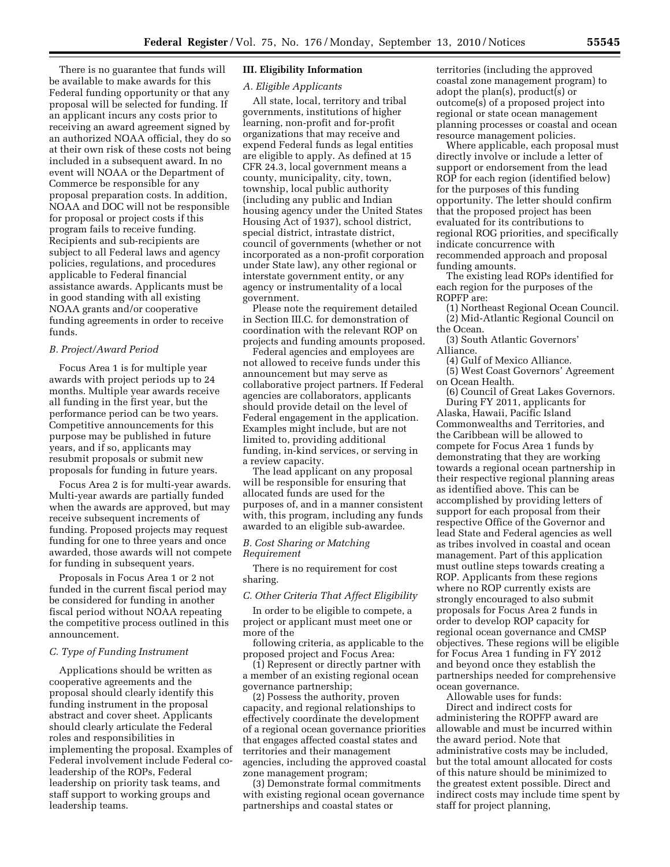There is no guarantee that funds will be available to make awards for this Federal funding opportunity or that any proposal will be selected for funding. If an applicant incurs any costs prior to receiving an award agreement signed by an authorized NOAA official, they do so at their own risk of these costs not being included in a subsequent award. In no event will NOAA or the Department of Commerce be responsible for any proposal preparation costs. In addition, NOAA and DOC will not be responsible for proposal or project costs if this program fails to receive funding. Recipients and sub-recipients are subject to all Federal laws and agency policies, regulations, and procedures applicable to Federal financial assistance awards. Applicants must be in good standing with all existing NOAA grants and/or cooperative funding agreements in order to receive funds.

## *B. Project/Award Period*

Focus Area 1 is for multiple year awards with project periods up to 24 months. Multiple year awards receive all funding in the first year, but the performance period can be two years. Competitive announcements for this purpose may be published in future years, and if so, applicants may resubmit proposals or submit new proposals for funding in future years.

Focus Area 2 is for multi-year awards. Multi-year awards are partially funded when the awards are approved, but may receive subsequent increments of funding. Proposed projects may request funding for one to three years and once awarded, those awards will not compete for funding in subsequent years.

Proposals in Focus Area 1 or 2 not funded in the current fiscal period may be considered for funding in another fiscal period without NOAA repeating the competitive process outlined in this announcement.

### *C. Type of Funding Instrument*

Applications should be written as cooperative agreements and the proposal should clearly identify this funding instrument in the proposal abstract and cover sheet. Applicants should clearly articulate the Federal roles and responsibilities in implementing the proposal. Examples of Federal involvement include Federal coleadership of the ROPs, Federal leadership on priority task teams, and staff support to working groups and leadership teams.

## **III. Eligibility Information**

### *A. Eligible Applicants*

All state, local, territory and tribal governments, institutions of higher learning, non-profit and for-profit organizations that may receive and expend Federal funds as legal entities are eligible to apply. As defined at 15 CFR 24.3, local government means a county, municipality, city, town, township, local public authority (including any public and Indian housing agency under the United States Housing Act of 1937), school district, special district, intrastate district, council of governments (whether or not incorporated as a non-profit corporation under State law), any other regional or interstate government entity, or any agency or instrumentality of a local government.

Please note the requirement detailed in Section III.C. for demonstration of coordination with the relevant ROP on projects and funding amounts proposed.

Federal agencies and employees are not allowed to receive funds under this announcement but may serve as collaborative project partners. If Federal agencies are collaborators, applicants should provide detail on the level of Federal engagement in the application. Examples might include, but are not limited to, providing additional funding, in-kind services, or serving in a review capacity.

The lead applicant on any proposal will be responsible for ensuring that allocated funds are used for the purposes of, and in a manner consistent with, this program, including any funds awarded to an eligible sub-awardee.

## *B. Cost Sharing or Matching Requirement*

There is no requirement for cost sharing.

### *C. Other Criteria That Affect Eligibility*

In order to be eligible to compete, a project or applicant must meet one or more of the

following criteria, as applicable to the proposed project and Focus Area:

(1) Represent or directly partner with a member of an existing regional ocean governance partnership;

(2) Possess the authority, proven capacity, and regional relationships to effectively coordinate the development of a regional ocean governance priorities that engages affected coastal states and territories and their management agencies, including the approved coastal zone management program;

(3) Demonstrate formal commitments with existing regional ocean governance partnerships and coastal states or

territories (including the approved coastal zone management program) to adopt the plan(s), product(s) or outcome(s) of a proposed project into regional or state ocean management planning processes or coastal and ocean resource management policies.

Where applicable, each proposal must directly involve or include a letter of support or endorsement from the lead ROP for each region (identified below) for the purposes of this funding opportunity. The letter should confirm that the proposed project has been evaluated for its contributions to regional ROG priorities, and specifically indicate concurrence with recommended approach and proposal funding amounts.

The existing lead ROPs identified for each region for the purposes of the ROPFP are:

- (1) Northeast Regional Ocean Council.
- (2) Mid-Atlantic Regional Council on the Ocean.

(3) South Atlantic Governors' Alliance.

(4) Gulf of Mexico Alliance.

(5) West Coast Governors' Agreement on Ocean Health.

(6) Council of Great Lakes Governors. During FY 2011, applicants for Alaska, Hawaii, Pacific Island Commonwealths and Territories, and the Caribbean will be allowed to compete for Focus Area 1 funds by demonstrating that they are working towards a regional ocean partnership in their respective regional planning areas as identified above. This can be accomplished by providing letters of support for each proposal from their respective Office of the Governor and lead State and Federal agencies as well as tribes involved in coastal and ocean management. Part of this application must outline steps towards creating a ROP. Applicants from these regions where no ROP currently exists are strongly encouraged to also submit proposals for Focus Area 2 funds in order to develop ROP capacity for regional ocean governance and CMSP objectives. These regions will be eligible for Focus Area 1 funding in FY 2012 and beyond once they establish the partnerships needed for comprehensive ocean governance.

Allowable uses for funds:

Direct and indirect costs for administering the ROPFP award are allowable and must be incurred within the award period. Note that administrative costs may be included, but the total amount allocated for costs of this nature should be minimized to the greatest extent possible. Direct and indirect costs may include time spent by staff for project planning,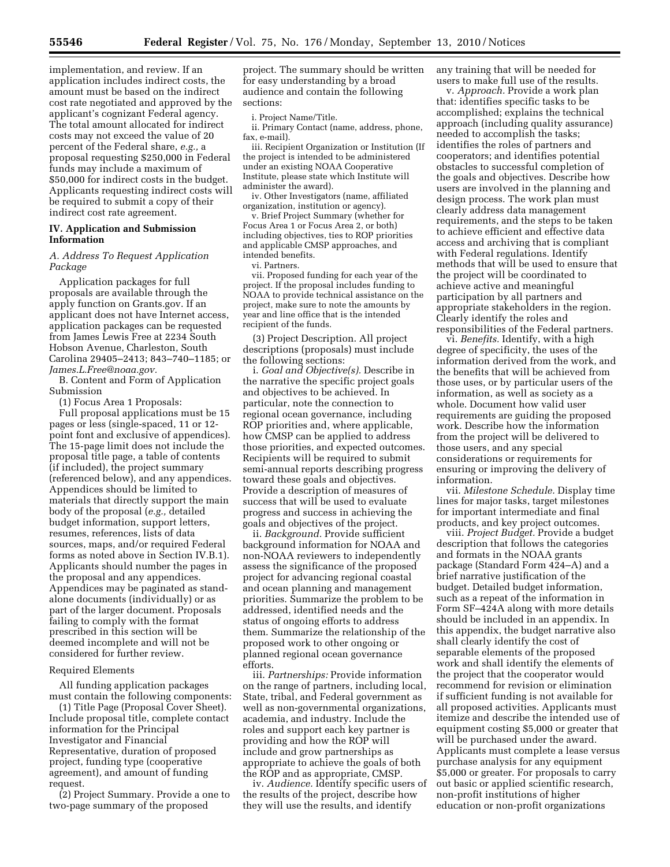implementation, and review. If an application includes indirect costs, the amount must be based on the indirect cost rate negotiated and approved by the applicant's cognizant Federal agency. The total amount allocated for indirect costs may not exceed the value of 20 percent of the Federal share, *e.g.,* a proposal requesting \$250,000 in Federal funds may include a maximum of \$50,000 for indirect costs in the budget. Applicants requesting indirect costs will be required to submit a copy of their indirect cost rate agreement.

## **IV. Application and Submission Information**

### *A. Address To Request Application Package*

Application packages for full proposals are available through the apply function on Grants.gov. If an applicant does not have Internet access, application packages can be requested from James Lewis Free at 2234 South Hobson Avenue, Charleston, South Carolina 29405–2413; 843–740–1185; or *[James.L.Free@noaa.gov.](mailto:James.L.Free@noaa.gov)* 

B. Content and Form of Application Submission

(1) Focus Area 1 Proposals:

Full proposal applications must be 15 pages or less (single-spaced, 11 or 12 point font and exclusive of appendices). The 15-page limit does not include the proposal title page, a table of contents (if included), the project summary (referenced below), and any appendices. Appendices should be limited to materials that directly support the main body of the proposal (*e.g.,* detailed budget information, support letters, resumes, references, lists of data sources, maps, and/or required Federal forms as noted above in Section IV.B.1). Applicants should number the pages in the proposal and any appendices. Appendices may be paginated as standalone documents (individually) or as part of the larger document. Proposals failing to comply with the format prescribed in this section will be deemed incomplete and will not be considered for further review.

### Required Elements

All funding application packages must contain the following components:

(1) Title Page (Proposal Cover Sheet). Include proposal title, complete contact information for the Principal Investigator and Financial Representative, duration of proposed project, funding type (cooperative agreement), and amount of funding request.

(2) Project Summary. Provide a one to two-page summary of the proposed

project. The summary should be written for easy understanding by a broad audience and contain the following sections:

i. Project Name/Title.

ii. Primary Contact (name, address, phone, fax, e-mail).

iii. Recipient Organization or Institution (If the project is intended to be administered under an existing NOAA Cooperative Institute, please state which Institute will administer the award).

iv. Other Investigators (name, affiliated organization, institution or agency).

v. Brief Project Summary (whether for Focus Area 1 or Focus Area 2, or both) including objectives, ties to ROP priorities and applicable CMSP approaches, and intended benefits.

vi. Partners.

vii. Proposed funding for each year of the project. If the proposal includes funding to NOAA to provide technical assistance on the project, make sure to note the amounts by year and line office that is the intended recipient of the funds.

(3) Project Description. All project descriptions (proposals) must include the following sections:

i. *Goal and Objective(s).* Describe in the narrative the specific project goals and objectives to be achieved. In particular, note the connection to regional ocean governance, including ROP priorities and, where applicable, how CMSP can be applied to address those priorities, and expected outcomes. Recipients will be required to submit semi-annual reports describing progress toward these goals and objectives. Provide a description of measures of success that will be used to evaluate progress and success in achieving the goals and objectives of the project.

ii. *Background.* Provide sufficient background information for NOAA and non-NOAA reviewers to independently assess the significance of the proposed project for advancing regional coastal and ocean planning and management priorities. Summarize the problem to be addressed, identified needs and the status of ongoing efforts to address them. Summarize the relationship of the proposed work to other ongoing or planned regional ocean governance efforts.

iii. *Partnerships:* Provide information on the range of partners, including local, State, tribal, and Federal government as well as non-governmental organizations, academia, and industry. Include the roles and support each key partner is providing and how the ROP will include and grow partnerships as appropriate to achieve the goals of both the ROP and as appropriate, CMSP.

iv. *Audience.* Identify specific users of the results of the project, describe how they will use the results, and identify

any training that will be needed for users to make full use of the results.

v. *Approach.* Provide a work plan that: identifies specific tasks to be accomplished; explains the technical approach (including quality assurance) needed to accomplish the tasks; identifies the roles of partners and cooperators; and identifies potential obstacles to successful completion of the goals and objectives. Describe how users are involved in the planning and design process. The work plan must clearly address data management requirements, and the steps to be taken to achieve efficient and effective data access and archiving that is compliant with Federal regulations. Identify methods that will be used to ensure that the project will be coordinated to achieve active and meaningful participation by all partners and appropriate stakeholders in the region. Clearly identify the roles and responsibilities of the Federal partners.

vi. *Benefits.* Identify, with a high degree of specificity, the uses of the information derived from the work, and the benefits that will be achieved from those uses, or by particular users of the information, as well as society as a whole. Document how valid user requirements are guiding the proposed work. Describe how the information from the project will be delivered to those users, and any special considerations or requirements for ensuring or improving the delivery of information.

vii. *Milestone Schedule.* Display time lines for major tasks, target milestones for important intermediate and final products, and key project outcomes.

viii. *Project Budget.* Provide a budget description that follows the categories and formats in the NOAA grants package (Standard Form 424–A) and a brief narrative justification of the budget. Detailed budget information, such as a repeat of the information in Form SF–424A along with more details should be included in an appendix. In this appendix, the budget narrative also shall clearly identify the cost of separable elements of the proposed work and shall identify the elements of the project that the cooperator would recommend for revision or elimination if sufficient funding is not available for all proposed activities. Applicants must itemize and describe the intended use of equipment costing \$5,000 or greater that will be purchased under the award. Applicants must complete a lease versus purchase analysis for any equipment \$5,000 or greater. For proposals to carry out basic or applied scientific research, non-profit institutions of higher education or non-profit organizations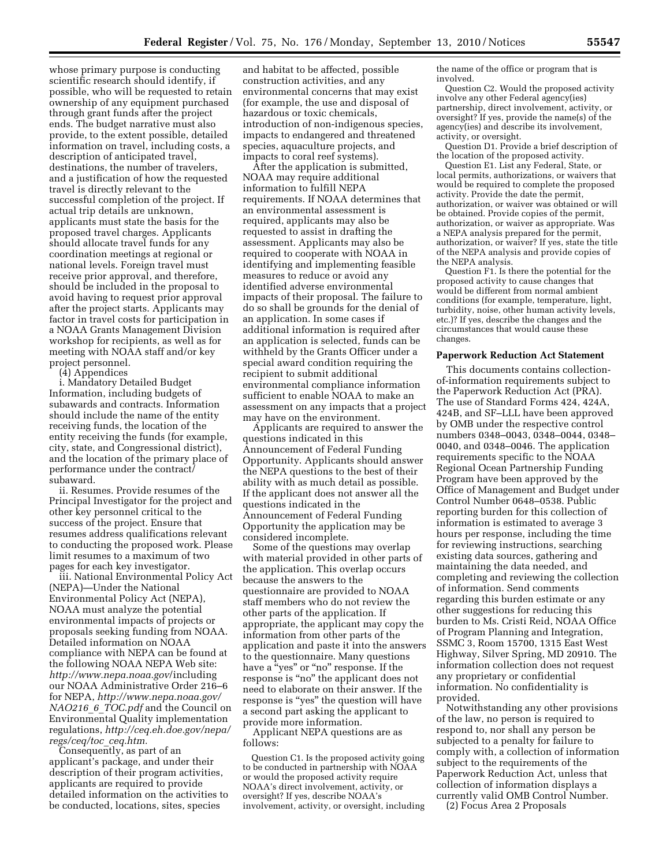whose primary purpose is conducting scientific research should identify, if possible, who will be requested to retain ownership of any equipment purchased through grant funds after the project ends. The budget narrative must also provide, to the extent possible, detailed information on travel, including costs, a description of anticipated travel, destinations, the number of travelers, and a justification of how the requested travel is directly relevant to the successful completion of the project. If actual trip details are unknown, applicants must state the basis for the proposed travel charges. Applicants should allocate travel funds for any coordination meetings at regional or national levels. Foreign travel must receive prior approval, and therefore, should be included in the proposal to avoid having to request prior approval after the project starts. Applicants may factor in travel costs for participation in a NOAA Grants Management Division workshop for recipients, as well as for meeting with NOAA staff and/or key project personnel.

(4) Appendices

i. Mandatory Detailed Budget Information, including budgets of subawards and contracts. Information should include the name of the entity receiving funds, the location of the entity receiving the funds (for example, city, state, and Congressional district), and the location of the primary place of performance under the contract/ subaward.

ii. Resumes. Provide resumes of the Principal Investigator for the project and other key personnel critical to the success of the project. Ensure that resumes address qualifications relevant to conducting the proposed work. Please limit resumes to a maximum of two pages for each key investigator.

iii. National Environmental Policy Act (NEPA)—Under the National Environmental Policy Act (NEPA), NOAA must analyze the potential environmental impacts of projects or proposals seeking funding from NOAA. Detailed information on NOAA compliance with NEPA can be found at the following NOAA NEPA Web site: *[http://www.nepa.noaa.gov](http://www.nepa.noaa.gov/)*/including our NOAA Administrative Order 216–6 for NEPA, *[http://www.nepa.noaa.gov/](http://www.nepa.noaa.gov/NAO216_6_TOC.pdf) [NAO216](http://www.nepa.noaa.gov/NAO216_6_TOC.pdf)*\_*6*\_*TOC.pdf* and the Council on Environmental Quality implementation regulations, *[http://ceq.eh.doe.gov/nepa/](http://ceq.eh.doe.gov/nepa/regs/ceq/toc_ceq.htm)  [regs/ceq/toc](http://ceq.eh.doe.gov/nepa/regs/ceq/toc_ceq.htm)*\_*ceq.htm.* 

Consequently, as part of an applicant's package, and under their description of their program activities, applicants are required to provide detailed information on the activities to be conducted, locations, sites, species

and habitat to be affected, possible construction activities, and any environmental concerns that may exist (for example, the use and disposal of hazardous or toxic chemicals, introduction of non-indigenous species, impacts to endangered and threatened species, aquaculture projects, and impacts to coral reef systems).

After the application is submitted, NOAA may require additional information to fulfill NEPA requirements. If NOAA determines that an environmental assessment is required, applicants may also be requested to assist in drafting the assessment. Applicants may also be required to cooperate with NOAA in identifying and implementing feasible measures to reduce or avoid any identified adverse environmental impacts of their proposal. The failure to do so shall be grounds for the denial of an application. In some cases if additional information is required after an application is selected, funds can be withheld by the Grants Officer under a special award condition requiring the recipient to submit additional environmental compliance information sufficient to enable NOAA to make an assessment on any impacts that a project may have on the environment.

Applicants are required to answer the questions indicated in this Announcement of Federal Funding Opportunity. Applicants should answer the NEPA questions to the best of their ability with as much detail as possible. If the applicant does not answer all the questions indicated in the Announcement of Federal Funding Opportunity the application may be considered incomplete.

Some of the questions may overlap with material provided in other parts of the application. This overlap occurs because the answers to the questionnaire are provided to NOAA staff members who do not review the other parts of the application. If appropriate, the applicant may copy the information from other parts of the application and paste it into the answers to the questionnaire. Many questions have a "yes" or "no" response. If the response is "no" the applicant does not need to elaborate on their answer. If the response is "yes" the question will have a second part asking the applicant to provide more information.

Applicant NEPA questions are as follows:

Question C1. Is the proposed activity going to be conducted in partnership with NOAA or would the proposed activity require NOAA's direct involvement, activity, or oversight? If yes, describe NOAA's involvement, activity, or oversight, including

the name of the office or program that is involved.

Question C2. Would the proposed activity involve any other Federal agency(ies) partnership, direct involvement, activity, or oversight? If yes, provide the name(s) of the agency(ies) and describe its involvement, activity, or oversight.

Question D1. Provide a brief description of the location of the proposed activity.

Question E1. List any Federal, State, or local permits, authorizations, or waivers that would be required to complete the proposed activity. Provide the date the permit, authorization, or waiver was obtained or will be obtained. Provide copies of the permit, authorization, or waiver as appropriate. Was a NEPA analysis prepared for the permit, authorization, or waiver? If yes, state the title of the NEPA analysis and provide copies of the NEPA analysis.

Question F1. Is there the potential for the proposed activity to cause changes that would be different from normal ambient conditions (for example, temperature, light, turbidity, noise, other human activity levels, etc.)? If yes, describe the changes and the circumstances that would cause these changes.

### **Paperwork Reduction Act Statement**

This documents contains collectionof-information requirements subject to the Paperwork Reduction Act (PRA). The use of Standard Forms 424, 424A, 424B, and SF–LLL have been approved by OMB under the respective control numbers 0348–0043, 0348–0044, 0348– 0040, and 0348–0046. The application requirements specific to the NOAA Regional Ocean Partnership Funding Program have been approved by the Office of Management and Budget under Control Number 0648–0538. Public reporting burden for this collection of information is estimated to average 3 hours per response, including the time for reviewing instructions, searching existing data sources, gathering and maintaining the data needed, and completing and reviewing the collection of information. Send comments regarding this burden estimate or any other suggestions for reducing this burden to Ms. Cristi Reid, NOAA Office of Program Planning and Integration, SSMC 3, Room 15700, 1315 East West Highway, Silver Spring, MD 20910. The information collection does not request any proprietary or confidential information. No confidentiality is provided.

Notwithstanding any other provisions of the law, no person is required to respond to, nor shall any person be subjected to a penalty for failure to comply with, a collection of information subject to the requirements of the Paperwork Reduction Act, unless that collection of information displays a currently valid OMB Control Number.

(2) Focus Area 2 Proposals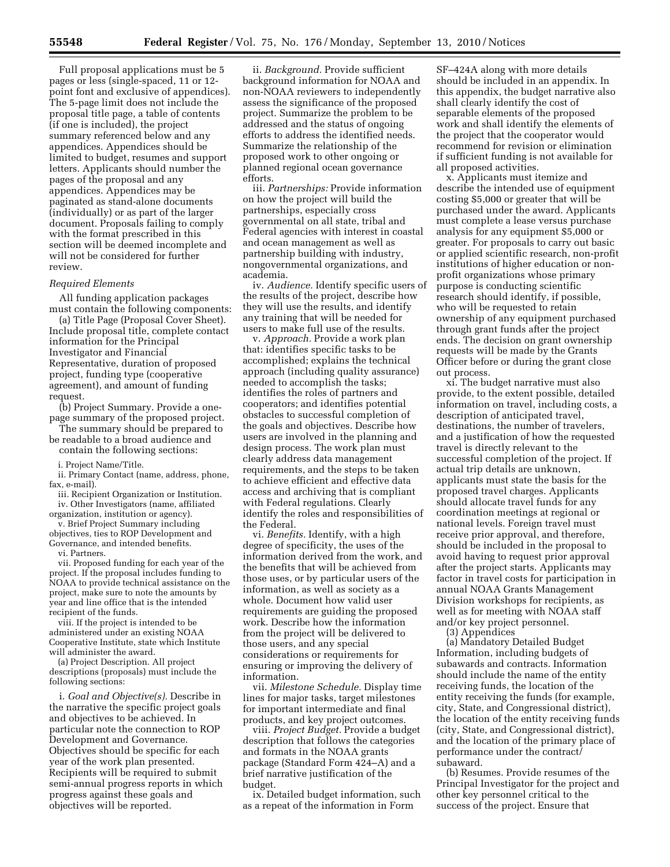Full proposal applications must be 5 pages or less (single-spaced, 11 or 12 point font and exclusive of appendices). The 5-page limit does not include the proposal title page, a table of contents (if one is included), the project summary referenced below and any appendices. Appendices should be limited to budget, resumes and support letters. Applicants should number the pages of the proposal and any appendices. Appendices may be paginated as stand-alone documents (individually) or as part of the larger document. Proposals failing to comply with the format prescribed in this section will be deemed incomplete and will not be considered for further review.

### *Required Elements*

All funding application packages must contain the following components:

(a) Title Page (Proposal Cover Sheet). Include proposal title, complete contact information for the Principal Investigator and Financial Representative, duration of proposed project, funding type (cooperative agreement), and amount of funding request.

(b) Project Summary. Provide a onepage summary of the proposed project.

The summary should be prepared to be readable to a broad audience and contain the following sections:

i. Project Name/Title.

ii. Primary Contact (name, address, phone, fax, e-mail).

iii. Recipient Organization or Institution.

iv. Other Investigators (name, affiliated organization, institution or agency).

v. Brief Project Summary including

objectives, ties to ROP Development and Governance, and intended benefits.

vi. Partners.

vii. Proposed funding for each year of the project. If the proposal includes funding to NOAA to provide technical assistance on the project, make sure to note the amounts by year and line office that is the intended recipient of the funds.

viii. If the project is intended to be administered under an existing NOAA Cooperative Institute, state which Institute will administer the award.

(a) Project Description. All project descriptions (proposals) must include the following sections:

i. *Goal and Objective(s).* Describe in the narrative the specific project goals and objectives to be achieved. In particular note the connection to ROP Development and Governance. Objectives should be specific for each year of the work plan presented. Recipients will be required to submit semi-annual progress reports in which progress against these goals and objectives will be reported.

ii. *Background.* Provide sufficient background information for NOAA and non-NOAA reviewers to independently assess the significance of the proposed project. Summarize the problem to be addressed and the status of ongoing efforts to address the identified needs. Summarize the relationship of the proposed work to other ongoing or planned regional ocean governance efforts.

iii. *Partnerships:* Provide information on how the project will build the partnerships, especially cross governmental on all state, tribal and Federal agencies with interest in coastal and ocean management as well as partnership building with industry, nongovernmental organizations, and academia.

iv. *Audience.* Identify specific users of the results of the project, describe how they will use the results, and identify any training that will be needed for users to make full use of the results.

v. *Approach.* Provide a work plan that: identifies specific tasks to be accomplished; explains the technical approach (including quality assurance) needed to accomplish the tasks; identifies the roles of partners and cooperators; and identifies potential obstacles to successful completion of the goals and objectives. Describe how users are involved in the planning and design process. The work plan must clearly address data management requirements, and the steps to be taken to achieve efficient and effective data access and archiving that is compliant with Federal regulations. Clearly identify the roles and responsibilities of the Federal.

vi. *Benefits.* Identify, with a high degree of specificity, the uses of the information derived from the work, and the benefits that will be achieved from those uses, or by particular users of the information, as well as society as a whole. Document how valid user requirements are guiding the proposed work. Describe how the information from the project will be delivered to those users, and any special considerations or requirements for ensuring or improving the delivery of information.

vii. *Milestone Schedule.* Display time lines for major tasks, target milestones for important intermediate and final products, and key project outcomes.

viii. *Project Budget.* Provide a budget description that follows the categories and formats in the NOAA grants package (Standard Form 424–A) and a brief narrative justification of the budget.

ix. Detailed budget information, such as a repeat of the information in Form

SF–424A along with more details should be included in an appendix. In this appendix, the budget narrative also shall clearly identify the cost of separable elements of the proposed work and shall identify the elements of the project that the cooperator would recommend for revision or elimination if sufficient funding is not available for all proposed activities.

x. Applicants must itemize and describe the intended use of equipment costing \$5,000 or greater that will be purchased under the award. Applicants must complete a lease versus purchase analysis for any equipment \$5,000 or greater. For proposals to carry out basic or applied scientific research, non-profit institutions of higher education or nonprofit organizations whose primary purpose is conducting scientific research should identify, if possible, who will be requested to retain ownership of any equipment purchased through grant funds after the project ends. The decision on grant ownership requests will be made by the Grants Officer before or during the grant close out process.

xi. The budget narrative must also provide, to the extent possible, detailed information on travel, including costs, a description of anticipated travel, destinations, the number of travelers, and a justification of how the requested travel is directly relevant to the successful completion of the project. If actual trip details are unknown, applicants must state the basis for the proposed travel charges. Applicants should allocate travel funds for any coordination meetings at regional or national levels. Foreign travel must receive prior approval, and therefore, should be included in the proposal to avoid having to request prior approval after the project starts. Applicants may factor in travel costs for participation in annual NOAA Grants Management Division workshops for recipients, as well as for meeting with NOAA staff and/or key project personnel.

(3) Appendices

(a) Mandatory Detailed Budget Information, including budgets of subawards and contracts. Information should include the name of the entity receiving funds, the location of the entity receiving the funds (for example, city, State, and Congressional district), the location of the entity receiving funds (city, State, and Congressional district), and the location of the primary place of performance under the contract/ subaward.

(b) Resumes. Provide resumes of the Principal Investigator for the project and other key personnel critical to the success of the project. Ensure that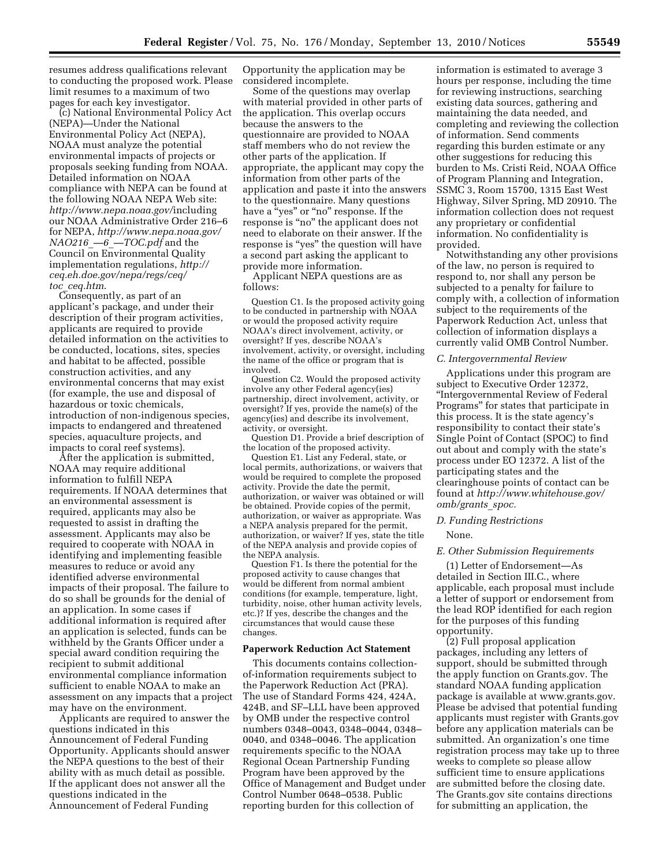resumes address qualifications relevant to conducting the proposed work. Please limit resumes to a maximum of two pages for each key investigator.

(c) National Environmental Policy Act (NEPA)—Under the National Environmental Policy Act (NEPA), NOAA must analyze the potential environmental impacts of projects or proposals seeking funding from NOAA. Detailed information on NOAA compliance with NEPA can be found at the following NOAA NEPA Web site: *<http://www.nepa.noaa.gov/>*including our NOAA Administrative Order 216–6 for NEPA, *[http://www.nepa.noaa.gov/](http://www.nepa.noaa.gov/NAO216__6__TOC.pdf)*   $NAO216$  —6 [—TOC.pdf](http://www.nepa.noaa.gov/NAO216__6__TOC.pdf) and the Council on Environmental Quality implementation regulations, *[http://](http://ceq.eh.doe.gov/nepa/regs/ceq/toc_ceq.htm)  [ceq.eh.doe.gov/nepa/regs/ceq/](http://ceq.eh.doe.gov/nepa/regs/ceq/toc_ceq.htm)  toc*\_*[ceq.htm](http://ceq.eh.doe.gov/nepa/regs/ceq/toc_ceq.htm)*.

Consequently, as part of an applicant's package, and under their description of their program activities, applicants are required to provide detailed information on the activities to be conducted, locations, sites, species and habitat to be affected, possible construction activities, and any environmental concerns that may exist (for example, the use and disposal of hazardous or toxic chemicals, introduction of non-indigenous species, impacts to endangered and threatened species, aquaculture projects, and impacts to coral reef systems).

After the application is submitted, NOAA may require additional information to fulfill NEPA requirements. If NOAA determines that an environmental assessment is required, applicants may also be requested to assist in drafting the assessment. Applicants may also be required to cooperate with NOAA in identifying and implementing feasible measures to reduce or avoid any identified adverse environmental impacts of their proposal. The failure to do so shall be grounds for the denial of an application. In some cases if additional information is required after an application is selected, funds can be withheld by the Grants Officer under a special award condition requiring the recipient to submit additional environmental compliance information sufficient to enable NOAA to make an assessment on any impacts that a project may have on the environment.

Applicants are required to answer the questions indicated in this Announcement of Federal Funding Opportunity. Applicants should answer the NEPA questions to the best of their ability with as much detail as possible. If the applicant does not answer all the questions indicated in the Announcement of Federal Funding

Opportunity the application may be considered incomplete.

Some of the questions may overlap with material provided in other parts of the application. This overlap occurs because the answers to the questionnaire are provided to NOAA staff members who do not review the other parts of the application. If appropriate, the applicant may copy the information from other parts of the application and paste it into the answers to the questionnaire. Many questions have a "yes" or "no" response. If the response is ''no'' the applicant does not need to elaborate on their answer. If the response is ''yes'' the question will have a second part asking the applicant to provide more information.

Applicant NEPA questions are as follows:

Question C1. Is the proposed activity going to be conducted in partnership with NOAA or would the proposed activity require NOAA's direct involvement, activity, or oversight? If yes, describe NOAA's involvement, activity, or oversight, including the name of the office or program that is involved.

Question C2. Would the proposed activity involve any other Federal agency(ies) partnership, direct involvement, activity, or oversight? If yes, provide the name(s) of the agency(ies) and describe its involvement, activity, or oversight.

Question D1. Provide a brief description of the location of the proposed activity.

Question E1. List any Federal, state, or local permits, authorizations, or waivers that would be required to complete the proposed activity. Provide the date the permit, authorization, or waiver was obtained or will be obtained. Provide copies of the permit, authorization, or waiver as appropriate. Was a NEPA analysis prepared for the permit, authorization, or waiver? If yes, state the title of the NEPA analysis and provide copies of the NEPA analysis.

Question F1. Is there the potential for the proposed activity to cause changes that would be different from normal ambient conditions (for example, temperature, light, turbidity, noise, other human activity levels, etc.)? If yes, describe the changes and the circumstances that would cause these changes.

#### **Paperwork Reduction Act Statement**

This documents contains collectionof-information requirements subject to the Paperwork Reduction Act (PRA). The use of Standard Forms 424, 424A, 424B, and SF–LLL have been approved by OMB under the respective control numbers 0348–0043, 0348–0044, 0348– 0040, and 0348–0046. The application requirements specific to the NOAA Regional Ocean Partnership Funding Program have been approved by the Office of Management and Budget under Control Number 0648–0538. Public reporting burden for this collection of

information is estimated to average 3 hours per response, including the time for reviewing instructions, searching existing data sources, gathering and maintaining the data needed, and completing and reviewing the collection of information. Send comments regarding this burden estimate or any other suggestions for reducing this burden to Ms. Cristi Reid, NOAA Office of Program Planning and Integration, SSMC 3, Room 15700, 1315 East West Highway, Silver Spring, MD 20910. The information collection does not request any proprietary or confidential information. No confidentiality is provided.

Notwithstanding any other provisions of the law, no person is required to respond to, nor shall any person be subjected to a penalty for failure to comply with, a collection of information subject to the requirements of the Paperwork Reduction Act, unless that collection of information displays a currently valid OMB Control Number.

## *C. Intergovernmental Review*

Applications under this program are subject to Executive Order 12372, ''Intergovernmental Review of Federal Programs'' for states that participate in this process. It is the state agency's responsibility to contact their state's Single Point of Contact (SPOC) to find out about and comply with the state's process under EO 12372. A list of the participating states and the clearinghouse points of contact can be found at *[http://www.whitehouse.gov/](http://www.whitehouse.gov/omb/grants_spoc)  [omb/grants](http://www.whitehouse.gov/omb/grants_spoc)*\_*spoc.* 

# *D. Funding Restrictions*

#### None.

#### *E. Other Submission Requirements*

(1) Letter of Endorsement—As detailed in Section III.C., where applicable, each proposal must include a letter of support or endorsement from the lead ROP identified for each region for the purposes of this funding opportunity.

(2) Full proposal application packages, including any letters of support, should be submitted through the apply function on Grants.gov. The standard NOAA funding application package is available at [www.grants.gov.](http://www.grants.gov)  Please be advised that potential funding applicants must register with Grants.gov before any application materials can be submitted. An organization's one time registration process may take up to three weeks to complete so please allow sufficient time to ensure applications are submitted before the closing date. The Grants.gov site contains directions for submitting an application, the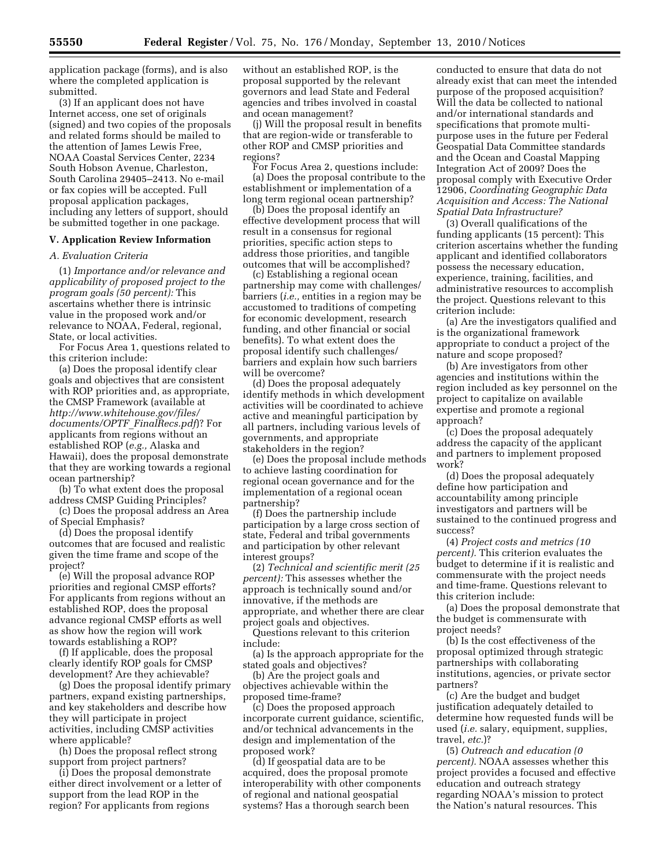application package (forms), and is also where the completed application is submitted.

(3) If an applicant does not have Internet access, one set of originals (signed) and two copies of the proposals and related forms should be mailed to the attention of James Lewis Free, NOAA Coastal Services Center, 2234 South Hobson Avenue, Charleston, South Carolina 29405–2413. No e-mail or fax copies will be accepted. Full proposal application packages, including any letters of support, should be submitted together in one package.

## **V. Application Review Information**

### *A. Evaluation Criteria*

(1) *Importance and/or relevance and applicability of proposed project to the program goals (50 percent):* This ascertains whether there is intrinsic value in the proposed work and/or relevance to NOAA, Federal, regional, State, or local activities.

For Focus Area 1, questions related to this criterion include:

(a) Does the proposal identify clear goals and objectives that are consistent with ROP priorities and, as appropriate, the CMSP Framework (available at *[http://www.whitehouse.gov/files/](http://www.whitehouse.gov/files/documents/OPTF_FinalRecs.pdf) [documents/OPTF](http://www.whitehouse.gov/files/documents/OPTF_FinalRecs.pdf)*\_*FinalRecs.pdf*)? For applicants from regions without an established ROP (*e.g.,* Alaska and Hawaii), does the proposal demonstrate that they are working towards a regional ocean partnership?

(b) To what extent does the proposal address CMSP Guiding Principles?

(c) Does the proposal address an Area of Special Emphasis?

(d) Does the proposal identify outcomes that are focused and realistic given the time frame and scope of the project?

(e) Will the proposal advance ROP priorities and regional CMSP efforts? For applicants from regions without an established ROP, does the proposal advance regional CMSP efforts as well as show how the region will work towards establishing a ROP?

(f) If applicable, does the proposal clearly identify ROP goals for CMSP development? Are they achievable?

(g) Does the proposal identify primary partners, expand existing partnerships, and key stakeholders and describe how they will participate in project activities, including CMSP activities where applicable?

(h) Does the proposal reflect strong support from project partners?

(i) Does the proposal demonstrate either direct involvement or a letter of support from the lead ROP in the region? For applicants from regions

without an established ROP, is the proposal supported by the relevant governors and lead State and Federal agencies and tribes involved in coastal and ocean management?

(j) Will the proposal result in benefits that are region-wide or transferable to other ROP and CMSP priorities and regions?

For Focus Area 2, questions include: (a) Does the proposal contribute to the establishment or implementation of a long term regional ocean partnership?

(b) Does the proposal identify an effective development process that will result in a consensus for regional priorities, specific action steps to address those priorities, and tangible outcomes that will be accomplished?

(c) Establishing a regional ocean partnership may come with challenges/ barriers (*i.e.,* entities in a region may be accustomed to traditions of competing for economic development, research funding, and other financial or social benefits). To what extent does the proposal identify such challenges/ barriers and explain how such barriers will be overcome?

(d) Does the proposal adequately identify methods in which development activities will be coordinated to achieve active and meaningful participation by all partners, including various levels of governments, and appropriate stakeholders in the region?

(e) Does the proposal include methods to achieve lasting coordination for regional ocean governance and for the implementation of a regional ocean partnership?

(f) Does the partnership include participation by a large cross section of state, Federal and tribal governments and participation by other relevant interest groups?

(2) *Technical and scientific merit (25 percent):* This assesses whether the approach is technically sound and/or innovative, if the methods are appropriate, and whether there are clear project goals and objectives.

Questions relevant to this criterion include:

(a) Is the approach appropriate for the stated goals and objectives?

(b) Are the project goals and objectives achievable within the proposed time-frame?

(c) Does the proposed approach incorporate current guidance, scientific, and/or technical advancements in the design and implementation of the proposed work?

(d) If geospatial data are to be acquired, does the proposal promote interoperability with other components of regional and national geospatial systems? Has a thorough search been

conducted to ensure that data do not already exist that can meet the intended purpose of the proposed acquisition? Will the data be collected to national and/or international standards and specifications that promote multipurpose uses in the future per Federal Geospatial Data Committee standards and the Ocean and Coastal Mapping Integration Act of 2009? Does the proposal comply with Executive Order 12906, *Coordinating Geographic Data Acquisition and Access: The National Spatial Data Infrastructure?* 

(3) Overall qualifications of the funding applicants (15 percent): This criterion ascertains whether the funding applicant and identified collaborators possess the necessary education, experience, training, facilities, and administrative resources to accomplish the project. Questions relevant to this criterion include:

(a) Are the investigators qualified and is the organizational framework appropriate to conduct a project of the nature and scope proposed?

(b) Are investigators from other agencies and institutions within the region included as key personnel on the project to capitalize on available expertise and promote a regional approach?

(c) Does the proposal adequately address the capacity of the applicant and partners to implement proposed work?

(d) Does the proposal adequately define how participation and accountability among principle investigators and partners will be sustained to the continued progress and success?

(4) *Project costs and metrics (10 percent).* This criterion evaluates the budget to determine if it is realistic and commensurate with the project needs and time-frame. Questions relevant to this criterion include:

(a) Does the proposal demonstrate that the budget is commensurate with project needs?

(b) Is the cost effectiveness of the proposal optimized through strategic partnerships with collaborating institutions, agencies, or private sector partners?

(c) Are the budget and budget justification adequately detailed to determine how requested funds will be used (*i.e.* salary, equipment, supplies, travel, *etc.*)?

(5) *Outreach and education (0 percent).* NOAA assesses whether this project provides a focused and effective education and outreach strategy regarding NOAA's mission to protect the Nation's natural resources. This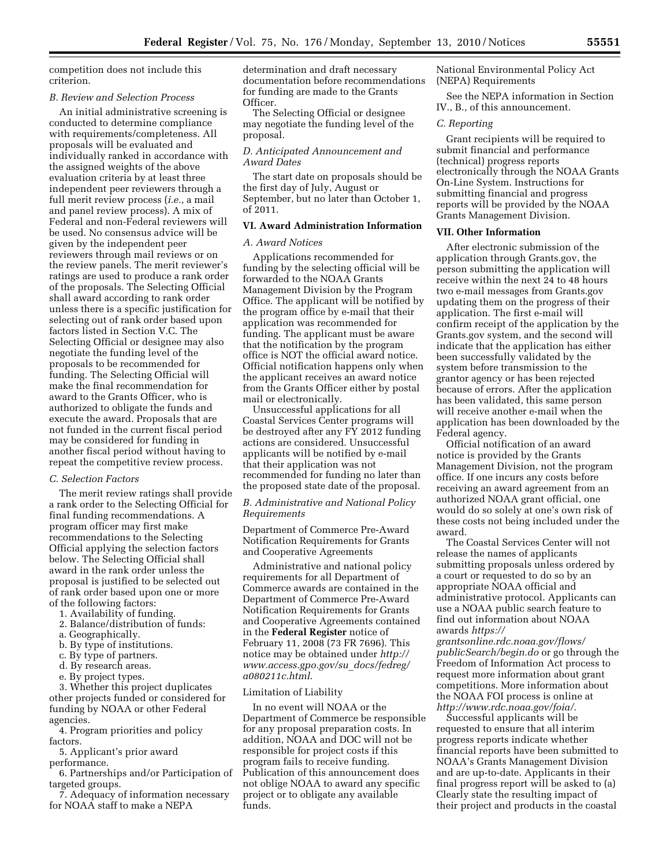competition does not include this criterion.

### *B. Review and Selection Process*

An initial administrative screening is conducted to determine compliance with requirements/completeness. All proposals will be evaluated and individually ranked in accordance with the assigned weights of the above evaluation criteria by at least three independent peer reviewers through a full merit review process (*i.e.,* a mail and panel review process). A mix of Federal and non-Federal reviewers will be used. No consensus advice will be given by the independent peer reviewers through mail reviews or on the review panels. The merit reviewer's ratings are used to produce a rank order of the proposals. The Selecting Official shall award according to rank order unless there is a specific justification for selecting out of rank order based upon factors listed in Section V.C. The Selecting Official or designee may also negotiate the funding level of the proposals to be recommended for funding. The Selecting Official will make the final recommendation for award to the Grants Officer, who is authorized to obligate the funds and execute the award. Proposals that are not funded in the current fiscal period may be considered for funding in another fiscal period without having to repeat the competitive review process.

### *C. Selection Factors*

The merit review ratings shall provide a rank order to the Selecting Official for final funding recommendations. A program officer may first make recommendations to the Selecting Official applying the selection factors below. The Selecting Official shall award in the rank order unless the proposal is justified to be selected out of rank order based upon one or more of the following factors:

- 1. Availability of funding.
- 2. Balance/distribution of funds:
- a. Geographically.
- b. By type of institutions.
- c. By type of partners.
- d. By research areas.
- e. By project types.

3. Whether this project duplicates other projects funded or considered for funding by NOAA or other Federal agencies.

4. Program priorities and policy factors.

5. Applicant's prior award performance.

6. Partnerships and/or Participation of targeted groups.

7. Adequacy of information necessary for NOAA staff to make a NEPA

determination and draft necessary documentation before recommendations for funding are made to the Grants Officer.

The Selecting Official or designee may negotiate the funding level of the proposal.

## *D. Anticipated Announcement and Award Dates*

The start date on proposals should be the first day of July, August or September, but no later than October 1, of 2011.

## **VI. Award Administration Information**

## *A. Award Notices*

Applications recommended for funding by the selecting official will be forwarded to the NOAA Grants Management Division by the Program Office. The applicant will be notified by the program office by e-mail that their application was recommended for funding. The applicant must be aware that the notification by the program office is NOT the official award notice. Official notification happens only when the applicant receives an award notice from the Grants Officer either by postal mail or electronically.

Unsuccessful applications for all Coastal Services Center programs will be destroyed after any FY 2012 funding actions are considered. Unsuccessful applicants will be notified by e-mail that their application was not recommended for funding no later than the proposed state date of the proposal.

## *B. Administrative and National Policy Requirements*

Department of Commerce Pre-Award Notification Requirements for Grants and Cooperative Agreements

Administrative and national policy requirements for all Department of Commerce awards are contained in the Department of Commerce Pre-Award Notification Requirements for Grants and Cooperative Agreements contained in the **Federal Register** notice of February 11, 2008 (73 FR 7696). This notice may be obtained under *[http://](http://www.access.gpo.gov/su_docs/fedreg/a080211c.html)  [www.access.gpo.gov/su](http://www.access.gpo.gov/su_docs/fedreg/a080211c.html)*\_*docs/fedreg/ [a080211c.html](http://www.access.gpo.gov/su_docs/fedreg/a080211c.html)*.

#### Limitation of Liability

In no event will NOAA or the Department of Commerce be responsible for any proposal preparation costs. In addition, NOAA and DOC will not be responsible for project costs if this program fails to receive funding. Publication of this announcement does not oblige NOAA to award any specific project or to obligate any available funds.

National Environmental Policy Act (NEPA) Requirements

See the NEPA information in Section IV., B., of this announcement.

## *C. Reporting*

Grant recipients will be required to submit financial and performance (technical) progress reports electronically through the NOAA Grants On-Line System. Instructions for submitting financial and progress reports will be provided by the NOAA Grants Management Division.

#### **VII. Other Information**

After electronic submission of the application through Grants.gov, the person submitting the application will receive within the next 24 to 48 hours two e-mail messages from Grants.gov updating them on the progress of their application. The first e-mail will confirm receipt of the application by the Grants.gov system, and the second will indicate that the application has either been successfully validated by the system before transmission to the grantor agency or has been rejected because of errors. After the application has been validated, this same person will receive another e-mail when the application has been downloaded by the Federal agency.

Official notification of an award notice is provided by the Grants Management Division, not the program office. If one incurs any costs before receiving an award agreement from an authorized NOAA grant official, one would do so solely at one's own risk of these costs not being included under the award.

The Coastal Services Center will not release the names of applicants submitting proposals unless ordered by a court or requested to do so by an appropriate NOAA official and administrative protocol. Applicants can use a NOAA public search feature to find out information about NOAA awards *[https://](https://grantsonline.rdc.noaa.gov/flows/publicSearch/begin.do)* 

*[grantsonline.rdc.noaa.gov/flows/](https://grantsonline.rdc.noaa.gov/flows/publicSearch/begin.do) [publicSearch/begin.do](https://grantsonline.rdc.noaa.gov/flows/publicSearch/begin.do)* or go through the Freedom of Information Act process to request more information about grant competitions. More information about the NOAA FOI process is online at *[http://www.rdc.noaa.gov/foia/.](http://www.rdc.noaa.gov/foia/)* 

Successful applicants will be requested to ensure that all interim progress reports indicate whether financial reports have been submitted to NOAA's Grants Management Division and are up-to-date. Applicants in their final progress report will be asked to (a) Clearly state the resulting impact of their project and products in the coastal